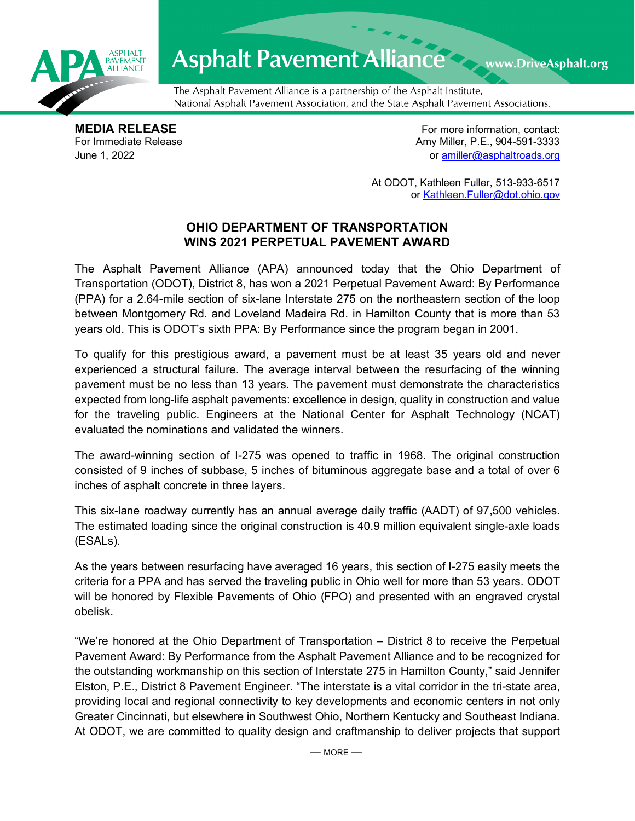

## Asphalt Pavement Alliance Mark DriveAsphalt.org

The Asphalt Pavement Alliance is a partnership of the Asphalt Institute, National Asphalt Pavement Association, and the State Asphalt Pavement Associations.

**MEDIA RELEASE**<br>
For Immediate Release **For more information, contact:**<br>
For Immediate Release **For the Structure of Amy Miller, P.E., 904-591-3333** Amy Miller, P.E., 904-591-3333 June 1, 2022 or [amiller@asphaltroads.org](mailto:amiller@asphaltroads.org)

> At ODOT, Kathleen Fuller, 513-933-6517 or [Kathleen.Fuller@dot.ohio.gov](mailto:Kathleen.Fuller@dot.ohio.gov)

## **OHIO DEPARTMENT OF TRANSPORTATION WINS 2021 PERPETUAL PAVEMENT AWARD**

The Asphalt Pavement Alliance (APA) announced today that the Ohio Department of Transportation (ODOT), District 8, has won a 2021 Perpetual Pavement Award: By Performance (PPA) for a 2.64-mile section of six-lane Interstate 275 on the northeastern section of the loop between Montgomery Rd. and Loveland Madeira Rd. in Hamilton County that is more than 53 years old. This is ODOT's sixth PPA: By Performance since the program began in 2001.

To qualify for this prestigious award, a pavement must be at least 35 years old and never experienced a structural failure. The average interval between the resurfacing of the winning pavement must be no less than 13 years. The pavement must demonstrate the characteristics expected from long-life asphalt pavements: excellence in design, quality in construction and value for the traveling public. Engineers at the National Center for Asphalt Technology (NCAT) evaluated the nominations and validated the winners.

The award-winning section of I-275 was opened to traffic in 1968. The original construction consisted of 9 inches of subbase, 5 inches of bituminous aggregate base and a total of over 6 inches of asphalt concrete in three layers.

This six-lane roadway currently has an annual average daily traffic (AADT) of 97,500 vehicles. The estimated loading since the original construction is 40.9 million equivalent single-axle loads (ESALs).

As the years between resurfacing have averaged 16 years, this section of I-275 easily meets the criteria for a PPA and has served the traveling public in Ohio well for more than 53 years. ODOT will be honored by Flexible Pavements of Ohio (FPO) and presented with an engraved crystal obelisk.

"We're honored at the Ohio Department of Transportation – District 8 to receive the Perpetual Pavement Award: By Performance from the Asphalt Pavement Alliance and to be recognized for the outstanding workmanship on this section of Interstate 275 in Hamilton County," said Jennifer Elston, P.E., District 8 Pavement Engineer. "The interstate is a vital corridor in the tri-state area, providing local and regional connectivity to key developments and economic centers in not only Greater Cincinnati, but elsewhere in Southwest Ohio, Northern Kentucky and Southeast Indiana. At ODOT, we are committed to quality design and craftmanship to deliver projects that support